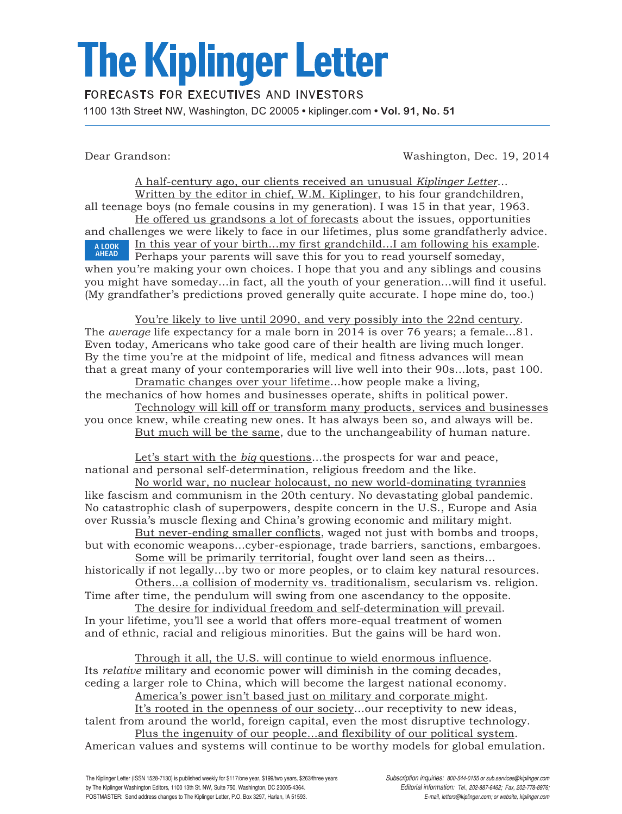## **The Kiplinger Letter**

## **FORECASTS FOR EXECUTIVES AND INVESTORS**

1100 13th Street NW, Washington, DC 20005 **•** kiplinger.com **• Vol. 91, No. 51**

Dear Grandson: Washington, Dec. 19, 2014

A half-century ago, our clients received an unusual *Kiplinger Letter*… Written by the editor in chief, W.M. Kiplinger, to his four grandchildren, all teenage boys (no female cousins in my generation). I was 15 in that year, 1963. He offered us grandsons a lot of forecasts about the issues, opportunities and challenges we were likely to face in our lifetimes, plus some grandfatherly advice. In this year of your birth...my first grandchild…I am following his example. Perhaps your parents will save this for you to read yourself someday, when you're making your own choices. I hope that you and any siblings and cousins you might have someday...in fact, all the youth of your generation...will find it useful. (My grandfather's predictions proved generally quite accurate. I hope mine do, too.) A LOOK AHEAD

You're likely to live until 2090, and very possibly into the 22nd century. The *average* life expectancy for a male born in 2014 is over 76 years; a female…81. Even today, Americans who take good care of their health are living much longer. By the time you're at the midpoint of life, medical and fitness advances will mean that a great many of your contemporaries will live well into their 90s…lots, past 100.

Dramatic changes over your lifetime…how people make a living, the mechanics of how homes and businesses operate, shifts in political power.

Technology will kill off or transform many products, services and businesses you once knew, while creating new ones. It has always been so, and always will be. But much will be the same, due to the unchangeability of human nature.

Let's start with the *big* questions...the prospects for war and peace, national and personal self-determination, religious freedom and the like.

No world war, no nuclear holocaust, no new world-dominating tyrannies like fascism and communism in the 20th century. No devastating global pandemic. No catastrophic clash of superpowers, despite concern in the U.S., Europe and Asia over Russia's muscle flexing and China's growing economic and military might.

But never-ending smaller conflicts, waged not just with bombs and troops, but with economic weapons…cyber-espionage, trade barriers, sanctions, embargoes. Some will be primarily territorial, fought over land seen as theirs…

historically if not legally...by two or more peoples, or to claim key natural resources. Others…a collision of modernity vs. traditionalism, secularism vs. religion.

Time after time, the pendulum will swing from one ascendancy to the opposite. The desire for individual freedom and self-determination will prevail.

In your lifetime, you'll see a world that offers more-equal treatment of women and of ethnic, racial and religious minorities. But the gains will be hard won.

Through it all, the U.S. will continue to wield enormous influence. Its *relative* military and economic power will diminish in the coming decades, ceding a larger role to China, which will become the largest national economy.

America's power isn't based just on military and corporate might.

It's rooted in the openness of our society…our receptivity to new ideas, talent from around the world, foreign capital, even the most disruptive technology. Plus the ingenuity of our people…and flexibility of our political system.

American values and systems will continue to be worthy models for global emulation.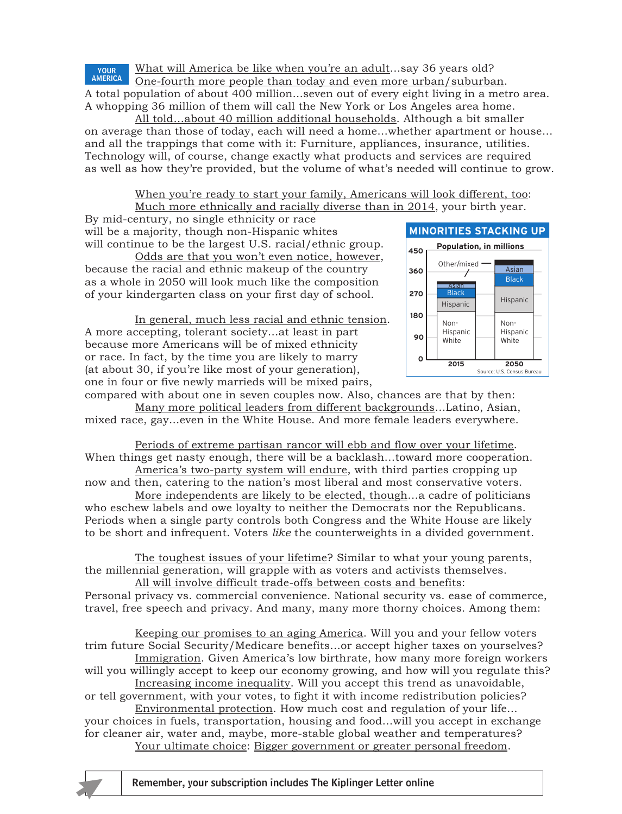What will America be like when you're an adult…say 36 years old?

One-fourth more people than today and even more urban/suburban. A total population of about 400 million...seven out of every eight living in a metro area. A whopping 36 million of them will call the New York or Los Angeles area home. YOUR AMERICA

All told…about 40 million additional households. Although a bit smaller on average than those of today, each will need a home…whether apartment or house… and all the trappings that come with it: Furniture, appliances, insurance, utilities. Technology will, of course, change exactly what products and services are required as well as how they're provided, but the volume of what's needed will continue to grow.

> When you're ready to start your family, Americans will look different, too: Much more ethnically and racially diverse than in 2014, your birth year.

By mid-century, no single ethnicity or race will be a majority, though non-Hispanic whites will continue to be the largest U.S. racial/ethnic group.

Odds are that you won't even notice, however, because the racial and ethnic makeup of the country as a whole in 2050 will look much like the composition of your kindergarten class on your first day of school.

In general, much less racial and ethnic tension. A more accepting, tolerant society…at least in part because more Americans will be of mixed ethnicity or race. In fact, by the time you are likely to marry (at about 30, if you're like most of your generation), one in four or five newly marrieds will be mixed pairs,



compared with about one in seven couples now. Also, chances are that by then: Many more political leaders from different backgrounds…Latino, Asian, mixed race, gay...even in the White House. And more female leaders everywhere.

Periods of extreme partisan rancor will ebb and flow over your lifetime. When things get nasty enough, there will be a backlash...toward more cooperation. America's two-party system will endure, with third parties cropping up

now and then, catering to the nation's most liberal and most conservative voters.

More independents are likely to be elected, though…a cadre of politicians who eschew labels and owe loyalty to neither the Democrats nor the Republicans. Periods when a single party controls both Congress and the White House are likely to be short and infrequent. Voters *like* the counterweights in a divided government.

The toughest issues of your lifetime? Similar to what your young parents, the millennial generation, will grapple with as voters and activists themselves. All will involve difficult trade-offs between costs and benefits:

Personal privacy vs. commercial convenience. National security vs. ease of commerce, travel, free speech and privacy. And many, many more thorny choices. Among them:

Keeping our promises to an aging America. Will you and your fellow voters trim future Social Security/Medicare benefits…or accept higher taxes on yourselves?

Immigration. Given America's low birthrate, how many more foreign workers will you willingly accept to keep our economy growing, and how will you regulate this?

Increasing income inequality. Will you accept this trend as unavoidable, or tell government, with your votes, to fight it with income redistribution policies?

Environmental protection. How much cost and regulation of your life… your choices in fuels, transportation, housing and food…will you accept in exchange for cleaner air, water and, maybe, more-stable global weather and temperatures? Your ultimate choice: Bigger government or greater personal freedom.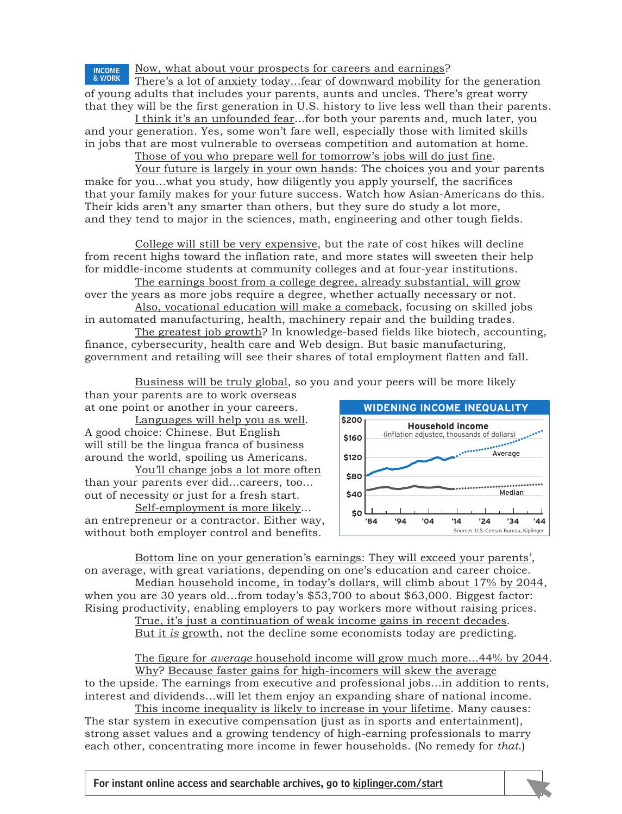Now, what about your prospects for careers and earnings?

There's a lot of anxiety today…fear of downward mobility for the generation of young adults that includes your parents, aunts and uncles. There's great worry that they will be the first generation in U.S. history to live less well than their parents. INCOME & WORK

I think it's an unfounded fear…for both your parents and, much later, you and your generation. Yes, some won't fare well, especially those with limited skills in jobs that are most vulnerable to overseas competition and automation at home.

Those of you who prepare well for tomorrow's jobs will do just fine.

Your future is largely in your own hands: The choices you and your parents make for you…what you study, how diligently you apply yourself, the sacrifices that your family makes for your future success. Watch how Asian-Americans do this. Their kids aren't any smarter than others, but they sure do study a lot more, and they tend to major in the sciences, math, engineering and other tough fields.

College will still be very expensive, but the rate of cost hikes will decline from recent highs toward the inflation rate, and more states will sweeten their help for middle-income students at community colleges and at four-year institutions.

The earnings boost from a college degree, already substantial, will grow over the years as more jobs require a degree, whether actually necessary or not.

Also, vocational education will make a comeback, focusing on skilled jobs in automated manufacturing, health, machinery repair and the building trades.

The greatest job growth? In knowledge-based fields like biotech, accounting, finance, cybersecurity, health care and Web design. But basic manufacturing, government and retailing will see their shares of total employment flatten and fall.

> <u>Business will be truly global,</u> so you and your peers will be more likely **10 PT INTERSTATE BOLD**

than your parents are to work overseas at one point or another in your careers.

Languages will help you as well. A good choice: Chinese. But English will still be the lingua franca of business around the world, spoiling us Americans.

You'll change jobs a lot more often than your parents ever did…careers, too... out of necessity or just for a fresh start.

Self-employment is more likely... an entrepreneur or a contractor. Either way,  $\begin{bmatrix} 84 & 94 & 94 & 14 & 24 & 34 & 44 \end{bmatrix}$ without both employer control and benefits.



Bottom line on your generation's earnings: They will exceed your parents', on average, with great variations, depending on one's education and career choice.

Median household income, in today's dollars, will climb about 17% by 2044, when you are 30 years old…from today's \$53,700 to about \$63,000. Biggest factor: Rising productivity, enabling employers to pay workers more without raising prices.

True, it's just a continuation of weak income gains in recent decades. But it *is* growth, not the decline some economists today are predicting.

The figure for *average* household income will grow much more…44% by 2044. Why? Because faster gains for high-incomers will skew the average

to the upside. The earnings from executive and professional jobs...in addition to rents, interest and dividends...will let them enjoy an expanding share of national income.

This income inequality is likely to increase in your lifetime. Many causes: The star system in executive compensation (just as in sports and entertainment), strong asset values and a growing tendency of high-earning professionals to marry each other, concentrating more income in fewer households. (No remedy for *that*.)

For instant online access and searchable archives, go to kiplinger.com/start